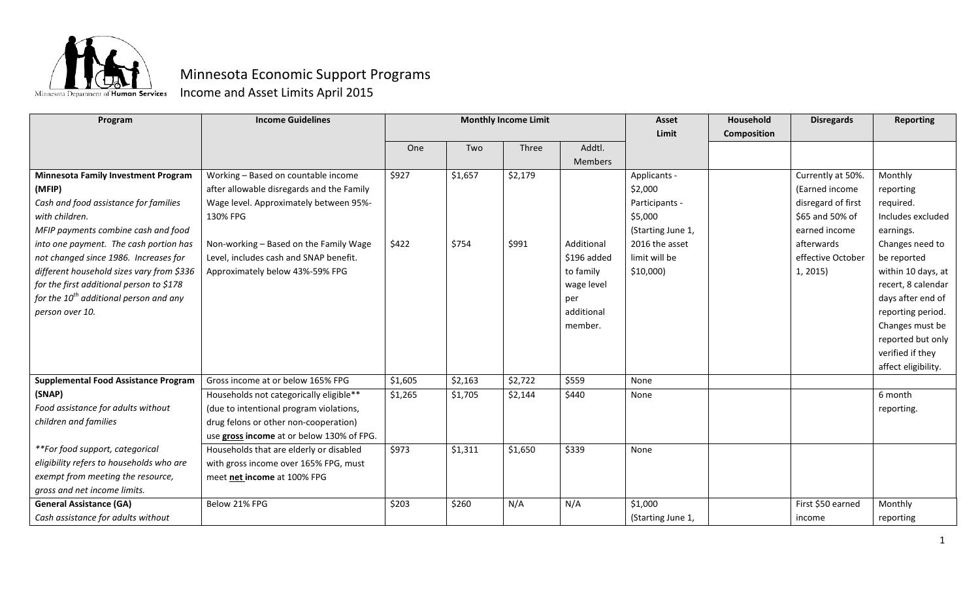

## Minnesota Economic Support Programs

Income and Asset Limits April 2015

| Program                                     | <b>Income Guidelines</b>                  | <b>Monthly Income Limit</b> |         |         | <b>Asset</b> | Household         | <b>Disregards</b>  | <b>Reporting</b>   |                     |
|---------------------------------------------|-------------------------------------------|-----------------------------|---------|---------|--------------|-------------------|--------------------|--------------------|---------------------|
|                                             |                                           |                             |         |         |              | Limit             | <b>Composition</b> |                    |                     |
|                                             |                                           | One                         | Two     | Three   | Addtl.       |                   |                    |                    |                     |
|                                             |                                           |                             |         |         | Members      |                   |                    |                    |                     |
| <b>Minnesota Family Investment Program</b>  | Working - Based on countable income       | \$927                       | \$1,657 | \$2,179 |              | Applicants -      |                    | Currently at 50%.  | Monthly             |
| (MFIP)                                      | after allowable disregards and the Family |                             |         |         |              | \$2,000           |                    | (Earned income     | reporting           |
| Cash and food assistance for families       | Wage level. Approximately between 95%-    |                             |         |         |              | Participants -    |                    | disregard of first | required.           |
| with children.                              | 130% FPG                                  |                             |         |         |              | \$5,000           |                    | \$65 and 50% of    | Includes excluded   |
| MFIP payments combine cash and food         |                                           |                             |         |         |              | (Starting June 1, |                    | earned income      | earnings.           |
| into one payment. The cash portion has      | Non-working - Based on the Family Wage    | \$422                       | \$754   | \$991   | Additional   | 2016 the asset    |                    | afterwards         | Changes need to     |
| not changed since 1986. Increases for       | Level, includes cash and SNAP benefit.    |                             |         |         | \$196 added  | limit will be     |                    | effective October  | be reported         |
| different household sizes vary from \$336   | Approximately below 43%-59% FPG           |                             |         |         | to family    | $$10,000$ )       |                    | 1, 2015)           | within 10 days, at  |
| for the first additional person to \$178    |                                           |                             |         |         | wage level   |                   |                    |                    | recert, 8 calendar  |
| for the $10^{th}$ additional person and any |                                           |                             |         |         | per          |                   |                    |                    | days after end of   |
| person over 10.                             |                                           |                             |         |         | additional   |                   |                    |                    | reporting period.   |
|                                             |                                           |                             |         |         | member.      |                   |                    |                    | Changes must be     |
|                                             |                                           |                             |         |         |              |                   |                    |                    | reported but only   |
|                                             |                                           |                             |         |         |              |                   |                    |                    | verified if they    |
|                                             |                                           |                             |         |         |              |                   |                    |                    | affect eligibility. |
| <b>Supplemental Food Assistance Program</b> | Gross income at or below 165% FPG         | \$1,605                     | \$2,163 | \$2,722 | \$559        | None              |                    |                    |                     |
| (SNAP)                                      | Households not categorically eligible**   | \$1,265                     | \$1,705 | \$2,144 | \$440        | None              |                    |                    | 6 month             |
| Food assistance for adults without          | (due to intentional program violations,   |                             |         |         |              |                   |                    |                    | reporting.          |
| children and families                       | drug felons or other non-cooperation)     |                             |         |         |              |                   |                    |                    |                     |
|                                             | use gross income at or below 130% of FPG. |                             |         |         |              |                   |                    |                    |                     |
| **For food support, categorical             | Households that are elderly or disabled   | \$973                       | \$1,311 | \$1,650 | \$339        | None              |                    |                    |                     |
| eligibility refers to households who are    | with gross income over 165% FPG, must     |                             |         |         |              |                   |                    |                    |                     |
| exempt from meeting the resource,           | meet net income at 100% FPG               |                             |         |         |              |                   |                    |                    |                     |
| gross and net income limits.                |                                           |                             |         |         |              |                   |                    |                    |                     |
| <b>General Assistance (GA)</b>              | Below 21% FPG                             | \$203                       | \$260   | N/A     | N/A          | \$1,000           |                    | First \$50 earned  | Monthly             |
| Cash assistance for adults without          |                                           |                             |         |         |              | (Starting June 1, |                    | income             | reporting           |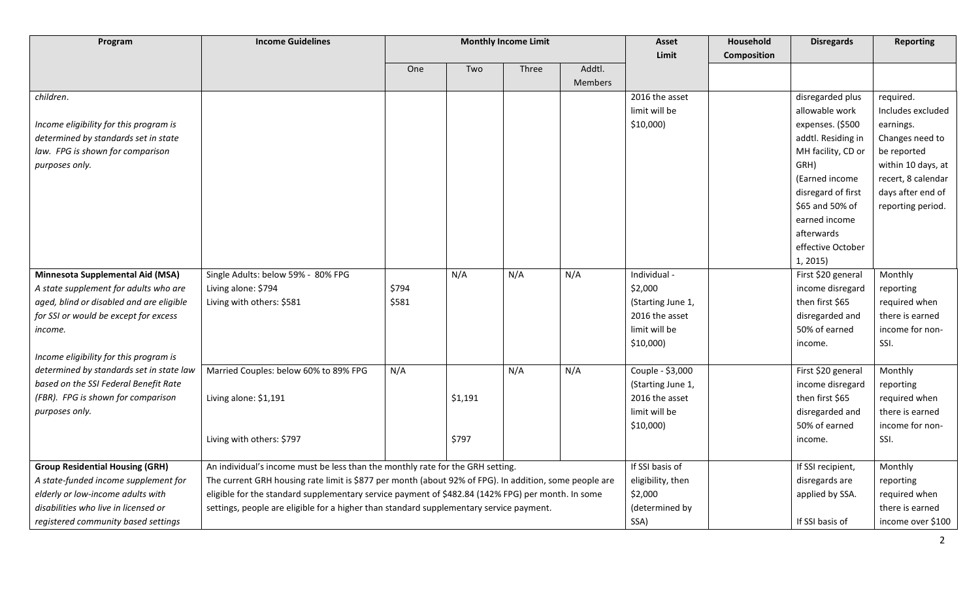| Program                                  | <b>Income Guidelines</b>                                                                               | <b>Monthly Income Limit</b> |         |              | <b>Asset</b> | Household         | <b>Disregards</b>  | <b>Reporting</b>   |                    |
|------------------------------------------|--------------------------------------------------------------------------------------------------------|-----------------------------|---------|--------------|--------------|-------------------|--------------------|--------------------|--------------------|
|                                          |                                                                                                        |                             |         |              |              | Limit             | <b>Composition</b> |                    |                    |
|                                          |                                                                                                        | One                         | Two     | <b>Three</b> | Addtl.       |                   |                    |                    |                    |
|                                          |                                                                                                        |                             |         |              | Members      |                   |                    |                    |                    |
| children.                                |                                                                                                        |                             |         |              |              | 2016 the asset    |                    | disregarded plus   | required.          |
|                                          |                                                                                                        |                             |         |              |              | limit will be     |                    | allowable work     | Includes excluded  |
| Income eligibility for this program is   |                                                                                                        |                             |         |              |              | $$10,000$ )       |                    | expenses. (\$500   | earnings.          |
| determined by standards set in state     |                                                                                                        |                             |         |              |              |                   |                    | addtl. Residing in | Changes need to    |
| law. FPG is shown for comparison         |                                                                                                        |                             |         |              |              |                   |                    | MH facility, CD or | be reported        |
| purposes only.                           |                                                                                                        |                             |         |              |              |                   |                    | GRH)               | within 10 days, at |
|                                          |                                                                                                        |                             |         |              |              |                   |                    | (Earned income     | recert, 8 calendar |
|                                          |                                                                                                        |                             |         |              |              |                   |                    | disregard of first | days after end of  |
|                                          |                                                                                                        |                             |         |              |              |                   |                    | \$65 and 50% of    | reporting period.  |
|                                          |                                                                                                        |                             |         |              |              |                   |                    | earned income      |                    |
|                                          |                                                                                                        |                             |         |              |              |                   |                    | afterwards         |                    |
|                                          |                                                                                                        |                             |         |              |              |                   |                    | effective October  |                    |
|                                          |                                                                                                        |                             |         |              |              |                   |                    | 1, 2015)           |                    |
| <b>Minnesota Supplemental Aid (MSA)</b>  | Single Adults: below 59% - 80% FPG                                                                     |                             | N/A     | N/A          | N/A          | Individual -      |                    | First \$20 general | Monthly            |
| A state supplement for adults who are    | Living alone: \$794                                                                                    | \$794                       |         |              |              | \$2,000           |                    | income disregard   | reporting          |
| aged, blind or disabled and are eligible | Living with others: \$581                                                                              | \$581                       |         |              |              | (Starting June 1, |                    | then first \$65    | required when      |
| for SSI or would be except for excess    |                                                                                                        |                             |         |              |              | 2016 the asset    |                    | disregarded and    | there is earned    |
| income.                                  |                                                                                                        |                             |         |              |              | limit will be     |                    | 50% of earned      | income for non-    |
|                                          |                                                                                                        |                             |         |              |              | $$10,000$ )       |                    | income.            | SSI.               |
| Income eligibility for this program is   |                                                                                                        |                             |         |              |              |                   |                    |                    |                    |
| determined by standards set in state law | Married Couples: below 60% to 89% FPG                                                                  | N/A                         |         | N/A          | N/A          | Couple - \$3,000  |                    | First \$20 general | Monthly            |
| based on the SSI Federal Benefit Rate    |                                                                                                        |                             |         |              |              | (Starting June 1, |                    | income disregard   | reporting          |
| (FBR). FPG is shown for comparison       | Living alone: \$1,191                                                                                  |                             | \$1,191 |              |              | 2016 the asset    |                    | then first \$65    | required when      |
| purposes only.                           |                                                                                                        |                             |         |              |              | limit will be     |                    | disregarded and    | there is earned    |
|                                          |                                                                                                        |                             |         |              |              | $$10,000$ )       |                    | 50% of earned      | income for non-    |
|                                          | Living with others: \$797                                                                              |                             | \$797   |              |              |                   |                    | income.            | SSI.               |
|                                          |                                                                                                        |                             |         |              |              |                   |                    |                    |                    |
| <b>Group Residential Housing (GRH)</b>   | An individual's income must be less than the monthly rate for the GRH setting.                         |                             |         |              |              | If SSI basis of   |                    | If SSI recipient,  | Monthly            |
| A state-funded income supplement for     | The current GRH housing rate limit is \$877 per month (about 92% of FPG). In addition, some people are |                             |         |              |              | eligibility, then |                    | disregards are     | reporting          |
| elderly or low-income adults with        | eligible for the standard supplementary service payment of \$482.84 (142% FPG) per month. In some      |                             |         |              |              | \$2,000           |                    | applied by SSA.    | required when      |
| disabilities who live in licensed or     | settings, people are eligible for a higher than standard supplementary service payment.                |                             |         |              |              | (determined by    |                    |                    | there is earned    |
| registered community based settings      |                                                                                                        |                             |         |              |              | SSA)              |                    | If SSI basis of    | income over \$100  |